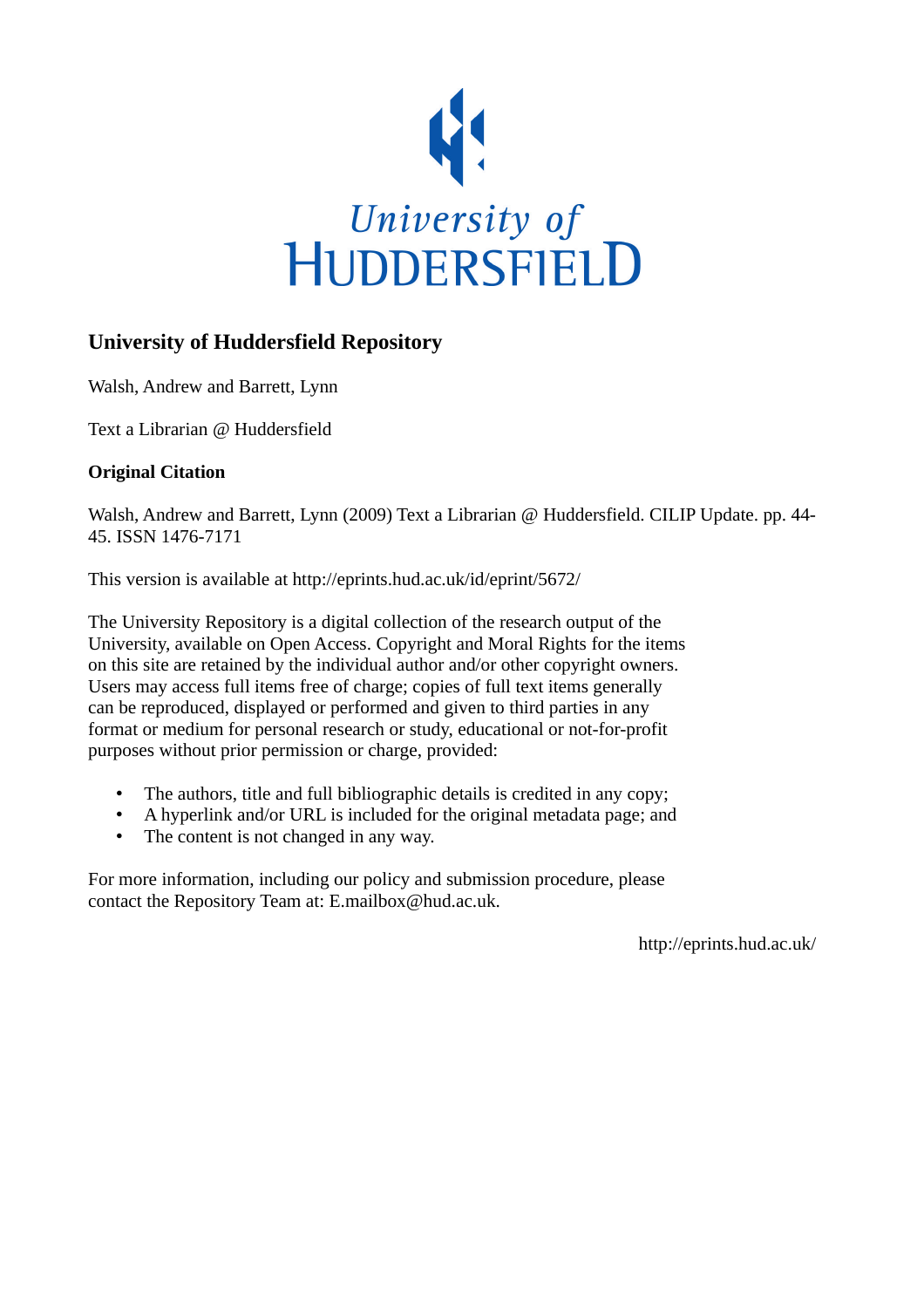

# **University of Huddersfield Repository**

Walsh, Andrew and Barrett, Lynn

Text a Librarian @ Huddersfield

## **Original Citation**

Walsh, Andrew and Barrett, Lynn (2009) Text a Librarian @ Huddersfield. CILIP Update. pp. 44-45. ISSN 1476-7171

This version is available at http://eprints.hud.ac.uk/id/eprint/5672/

The University Repository is a digital collection of the research output of the University, available on Open Access. Copyright and Moral Rights for the items on this site are retained by the individual author and/or other copyright owners. Users may access full items free of charge; copies of full text items generally can be reproduced, displayed or performed and given to third parties in any format or medium for personal research or study, educational or not-for-profit purposes without prior permission or charge, provided:

- The authors, title and full bibliographic details is credited in any copy;
- A hyperlink and/or URL is included for the original metadata page; and
- The content is not changed in any way.

For more information, including our policy and submission procedure, please contact the Repository Team at: E.mailbox@hud.ac.uk.

http://eprints.hud.ac.uk/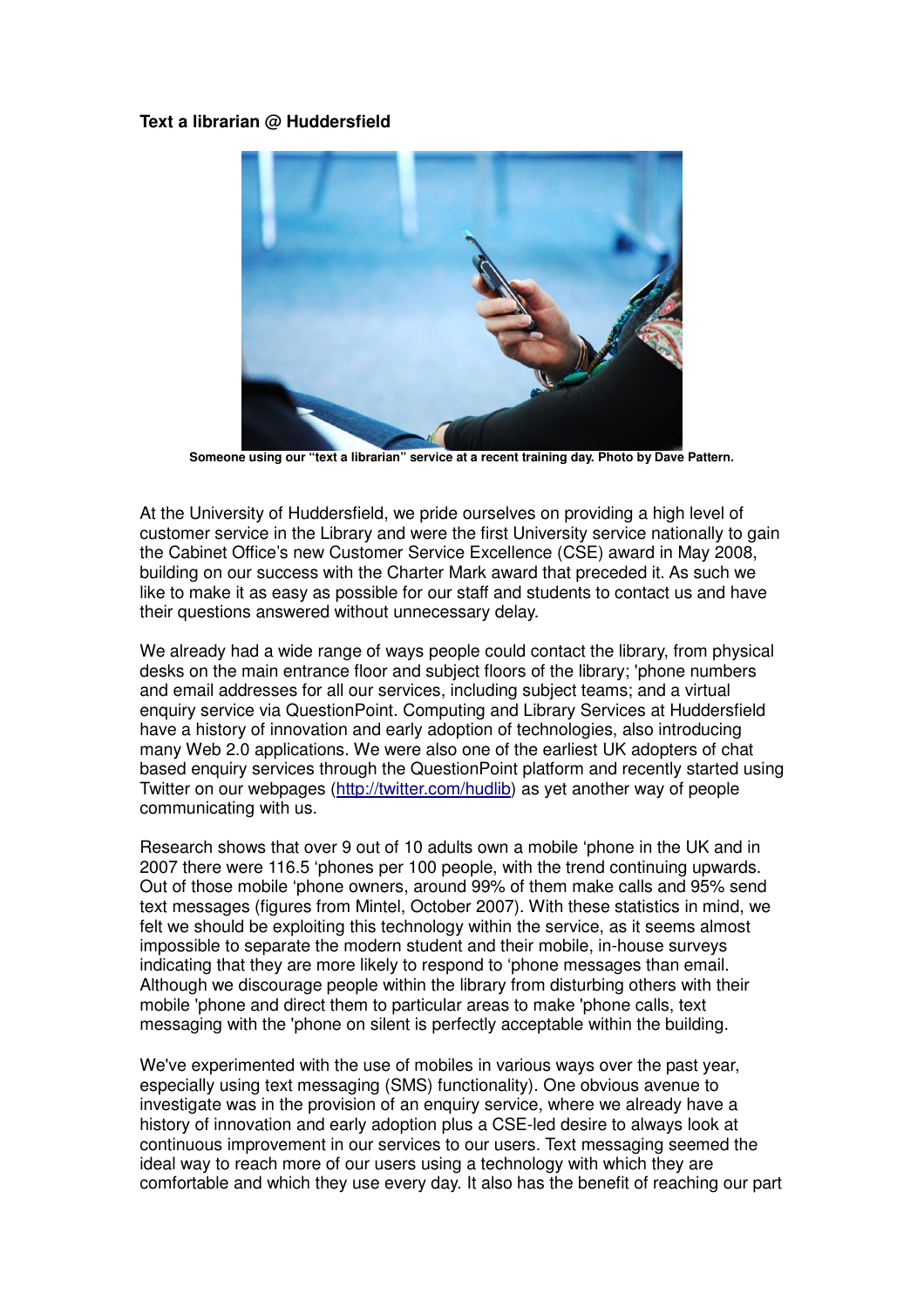### **Text a librarian @ Huddersfield**



**Someone using our "text a librarian" service at a recent training day. Photo by Dave Pattern.** 

At the University of Huddersfield, we pride ourselves on providing a high level of customer service in the Library and were the first University service nationally to gain the Cabinet Office's new Customer Service Excellence (CSE) award in May 2008, building on our success with the Charter Mark award that preceded it. As such we like to make it as easy as possible for our staff and students to contact us and have their questions answered without unnecessary delay.

We already had a wide range of ways people could contact the library, from physical desks on the main entrance floor and subject floors of the library; 'phone numbers and email addresses for all our services, including subject teams; and a virtual enquiry service via QuestionPoint. Computing and Library Services at Huddersfield have a history of innovation and early adoption of technologies, also introducing many Web 2.0 applications. We were also one of the earliest UK adopters of chat based enquiry services through the QuestionPoint platform and recently started using Twitter on our webpages (http://twitter.com/hudlib) as yet another way of people communicating with us.

Research shows that over 9 out of 10 adults own a mobile 'phone in the UK and in 2007 there were 116.5 'phones per 100 people, with the trend continuing upwards. Out of those mobile 'phone owners, around 99% of them make calls and 95% send text messages (figures from Mintel, October 2007). With these statistics in mind, we felt we should be exploiting this technology within the service, as it seems almost impossible to separate the modern student and their mobile, in-house surveys indicating that they are more likely to respond to 'phone messages than email. Although we discourage people within the library from disturbing others with their mobile 'phone and direct them to particular areas to make 'phone calls, text messaging with the 'phone on silent is perfectly acceptable within the building.

We've experimented with the use of mobiles in various ways over the past year, especially using text messaging (SMS) functionality). One obvious avenue to investigate was in the provision of an enquiry service, where we already have a history of innovation and early adoption plus a CSE-led desire to always look at continuous improvement in our services to our users. Text messaging seemed the ideal way to reach more of our users using a technology with which they are comfortable and which they use every day. It also has the benefit of reaching our part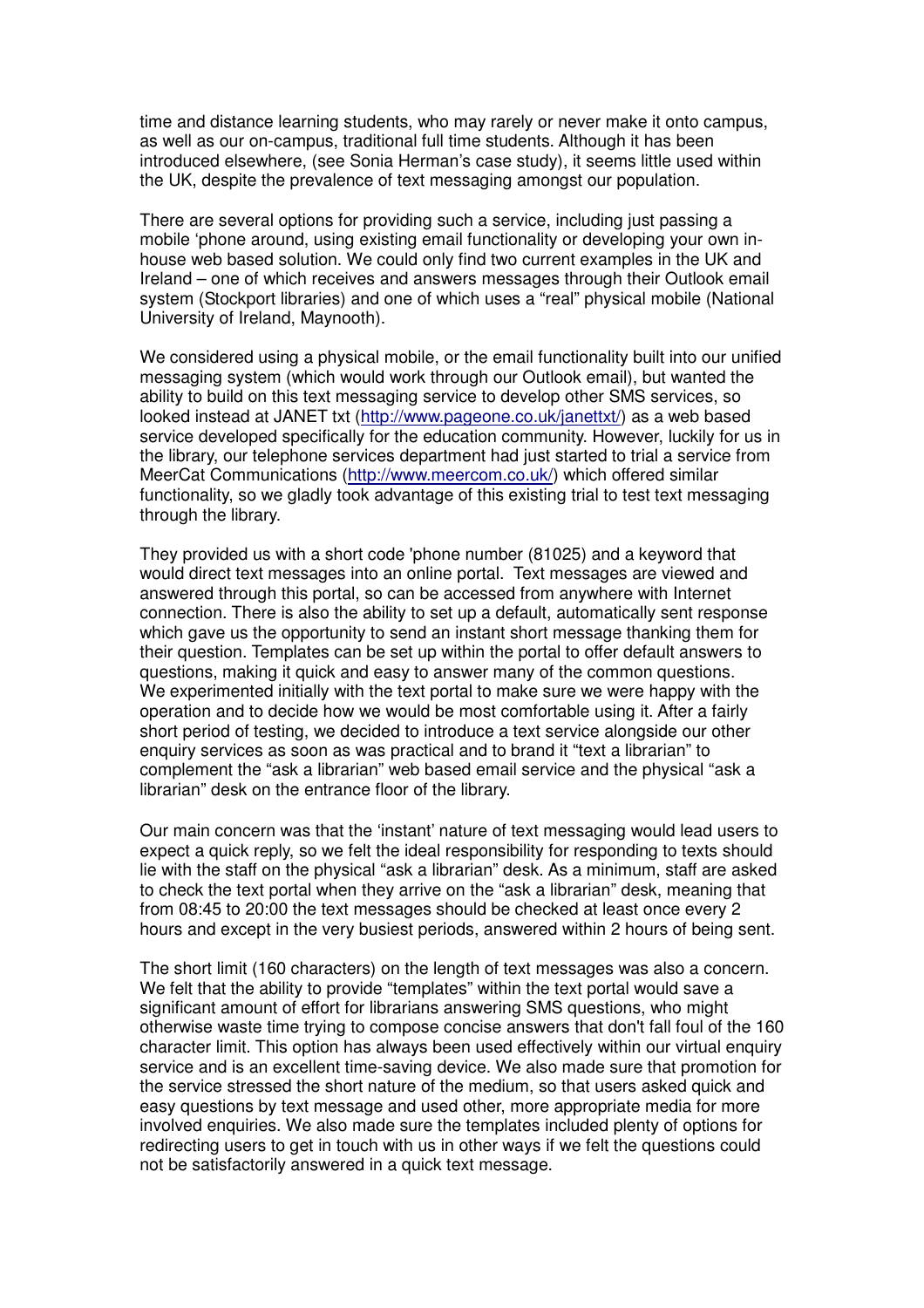time and distance learning students, who may rarely or never make it onto campus, as well as our on-campus, traditional full time students. Although it has been introduced elsewhere, (see Sonia Herman's case study), it seems little used within the UK, despite the prevalence of text messaging amongst our population.

There are several options for providing such a service, including just passing a mobile 'phone around, using existing email functionality or developing your own inhouse web based solution. We could only find two current examples in the UK and Ireland – one of which receives and answers messages through their Outlook email system (Stockport libraries) and one of which uses a "real" physical mobile (National University of Ireland, Maynooth).

We considered using a physical mobile, or the email functionality built into our unified messaging system (which would work through our Outlook email), but wanted the ability to build on this text messaging service to develop other SMS services, so looked instead at JANET txt (http://www.pageone.co.uk/janettxt/) as a web based service developed specifically for the education community. However, luckily for us in the library, our telephone services department had just started to trial a service from MeerCat Communications (http://www.meercom.co.uk/) which offered similar functionality, so we gladly took advantage of this existing trial to test text messaging through the library.

They provided us with a short code 'phone number (81025) and a keyword that would direct text messages into an online portal. Text messages are viewed and answered through this portal, so can be accessed from anywhere with Internet connection. There is also the ability to set up a default, automatically sent response which gave us the opportunity to send an instant short message thanking them for their question. Templates can be set up within the portal to offer default answers to questions, making it quick and easy to answer many of the common questions. We experimented initially with the text portal to make sure we were happy with the operation and to decide how we would be most comfortable using it. After a fairly short period of testing, we decided to introduce a text service alongside our other enquiry services as soon as was practical and to brand it "text a librarian" to complement the "ask a librarian" web based email service and the physical "ask a librarian" desk on the entrance floor of the library.

Our main concern was that the 'instant' nature of text messaging would lead users to expect a quick reply, so we felt the ideal responsibility for responding to texts should lie with the staff on the physical "ask a librarian" desk. As a minimum, staff are asked to check the text portal when they arrive on the "ask a librarian" desk, meaning that from 08:45 to 20:00 the text messages should be checked at least once every 2 hours and except in the very busiest periods, answered within 2 hours of being sent.

The short limit (160 characters) on the length of text messages was also a concern. We felt that the ability to provide "templates" within the text portal would save a significant amount of effort for librarians answering SMS questions, who might otherwise waste time trying to compose concise answers that don't fall foul of the 160 character limit. This option has always been used effectively within our virtual enquiry service and is an excellent time-saving device. We also made sure that promotion for the service stressed the short nature of the medium, so that users asked quick and easy questions by text message and used other, more appropriate media for more involved enquiries. We also made sure the templates included plenty of options for redirecting users to get in touch with us in other ways if we felt the questions could not be satisfactorily answered in a quick text message.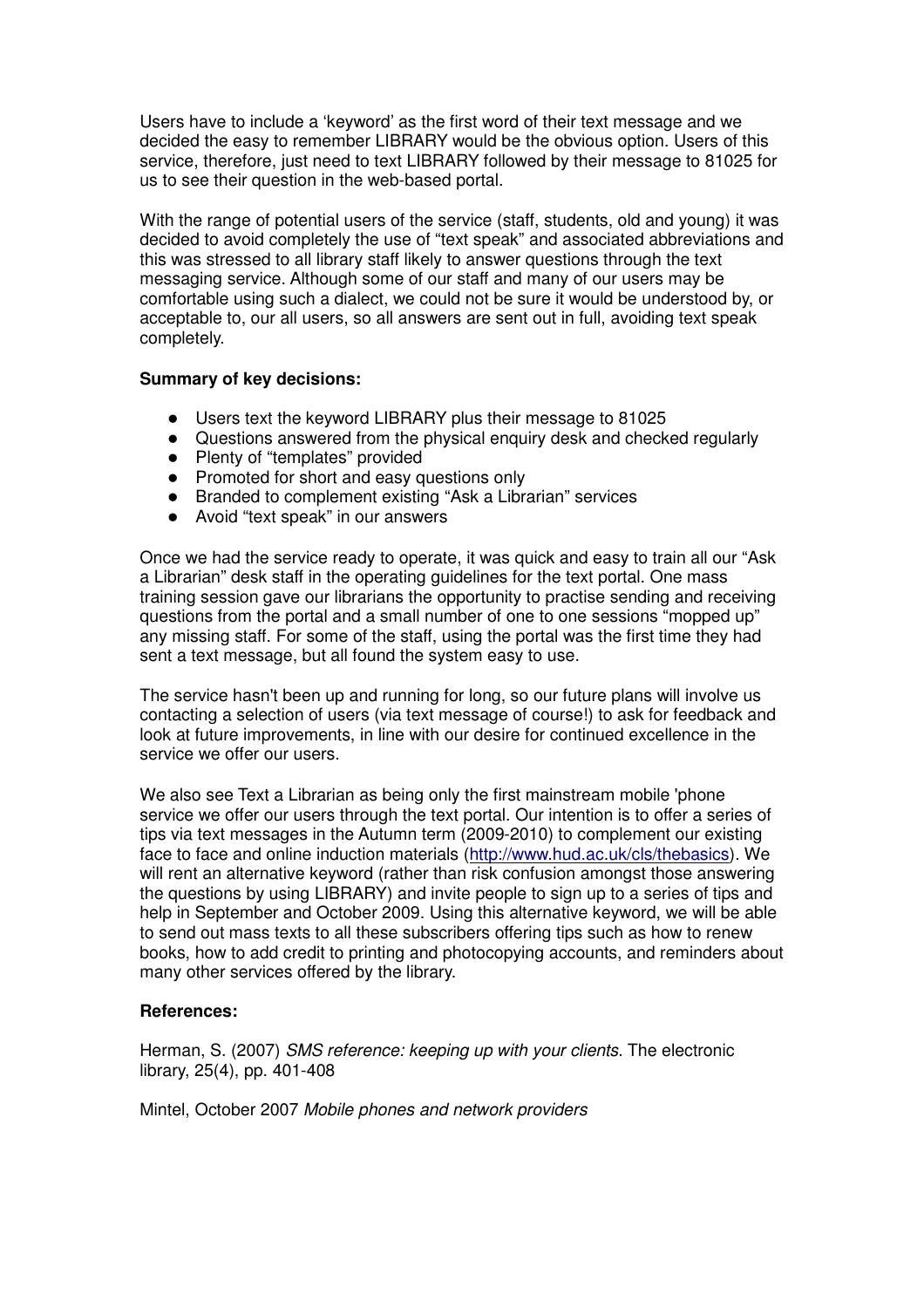Users have to include a 'keyword' as the first word of their text message and we decided the easy to remember LIBRARY would be the obvious option. Users of this service, therefore, just need to text LIBRARY followed by their message to 81025 for us to see their question in the web-based portal.

With the range of potential users of the service (staff, students, old and young) it was decided to avoid completely the use of "text speak" and associated abbreviations and this was stressed to all library staff likely to answer questions through the text messaging service. Although some of our staff and many of our users may be comfortable using such a dialect, we could not be sure it would be understood by, or acceptable to, our all users, so all answers are sent out in full, avoiding text speak completely.

### **Summary of key decisions:**

- Users text the keyword LIBRARY plus their message to 81025
- Questions answered from the physical enquiry desk and checked regularly
- Plenty of "templates" provided
- Promoted for short and easy questions only
- Branded to complement existing "Ask a Librarian" services
- Avoid "text speak" in our answers

Once we had the service ready to operate, it was quick and easy to train all our "Ask a Librarian" desk staff in the operating guidelines for the text portal. One mass training session gave our librarians the opportunity to practise sending and receiving questions from the portal and a small number of one to one sessions "mopped up" any missing staff. For some of the staff, using the portal was the first time they had sent a text message, but all found the system easy to use.

The service hasn't been up and running for long, so our future plans will involve us contacting a selection of users (via text message of course!) to ask for feedback and look at future improvements, in line with our desire for continued excellence in the service we offer our users.

We also see Text a Librarian as being only the first mainstream mobile 'phone service we offer our users through the text portal. Our intention is to offer a series of tips via text messages in the Autumn term (2009-2010) to complement our existing face to face and online induction materials (http://www.hud.ac.uk/cls/thebasics). We will rent an alternative keyword (rather than risk confusion amongst those answering the questions by using LIBRARY) and invite people to sign up to a series of tips and help in September and October 2009. Using this alternative keyword, we will be able to send out mass texts to all these subscribers offering tips such as how to renew books, how to add credit to printing and photocopying accounts, and reminders about many other services offered by the library.

#### **References:**

Herman, S. (2007) SMS reference: keeping up with your clients. The electronic library, 25(4), pp. 401-408

Mintel, October 2007 Mobile phones and network providers